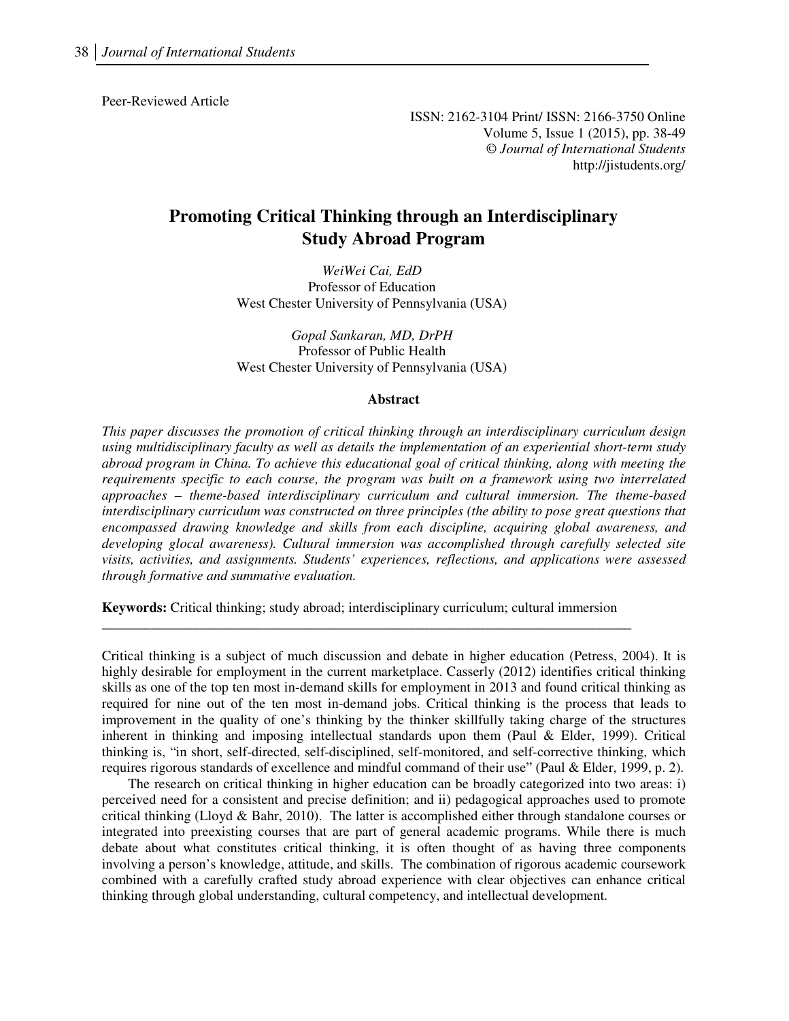Peer-Reviewed Article

ISSN: 2162-3104 Print/ ISSN: 2166-3750 Online Volume 5, Issue 1 (2015), pp. 38-49 © *Journal of International Students* http://jistudents.org/

# **Promoting Critical Thinking through an Interdisciplinary Study Abroad Program**

*WeiWei Cai, EdD*  Professor of Education West Chester University of Pennsylvania (USA)

*Gopal Sankaran, MD, DrPH*  Professor of Public Health West Chester University of Pennsylvania (USA)

#### **Abstract**

*This paper discusses the promotion of critical thinking through an interdisciplinary curriculum design using multidisciplinary faculty as well as details the implementation of an experiential short-term study abroad program in China. To achieve this educational goal of critical thinking, along with meeting the requirements specific to each course, the program was built on a framework using two interrelated approaches – theme-based interdisciplinary curriculum and cultural immersion. The theme-based interdisciplinary curriculum was constructed on three principles (the ability to pose great questions that encompassed drawing knowledge and skills from each discipline, acquiring global awareness, and developing glocal awareness). Cultural immersion was accomplished through carefully selected site visits, activities, and assignments. Students' experiences, reflections, and applications were assessed through formative and summative evaluation.* 

**Keywords:** Critical thinking; study abroad; interdisciplinary curriculum; cultural immersion \_\_\_\_\_\_\_\_\_\_\_\_\_\_\_\_\_\_\_\_\_\_\_\_\_\_\_\_\_\_\_\_\_\_\_\_\_\_\_\_\_\_\_\_\_\_\_\_\_\_\_\_\_\_\_\_\_\_\_\_\_\_\_\_\_\_\_\_\_\_\_\_\_\_\_\_

Critical thinking is a subject of much discussion and debate in higher education (Petress, 2004). It is highly desirable for employment in the current marketplace. Casserly (2012) identifies critical thinking skills as one of the top ten most in-demand skills for employment in 2013 and found critical thinking as required for nine out of the ten most in-demand jobs. Critical thinking is the process that leads to improvement in the quality of one's thinking by the thinker skillfully taking charge of the structures inherent in thinking and imposing intellectual standards upon them (Paul & Elder, 1999). Critical thinking is, "in short, self-directed, self-disciplined, self-monitored, and self-corrective thinking, which requires rigorous standards of excellence and mindful command of their use" (Paul & Elder, 1999, p. 2).

The research on critical thinking in higher education can be broadly categorized into two areas: i) perceived need for a consistent and precise definition; and ii) pedagogical approaches used to promote critical thinking (Lloyd & Bahr, 2010). The latter is accomplished either through standalone courses or integrated into preexisting courses that are part of general academic programs. While there is much debate about what constitutes critical thinking, it is often thought of as having three components involving a person's knowledge, attitude, and skills. The combination of rigorous academic coursework combined with a carefully crafted study abroad experience with clear objectives can enhance critical thinking through global understanding, cultural competency, and intellectual development.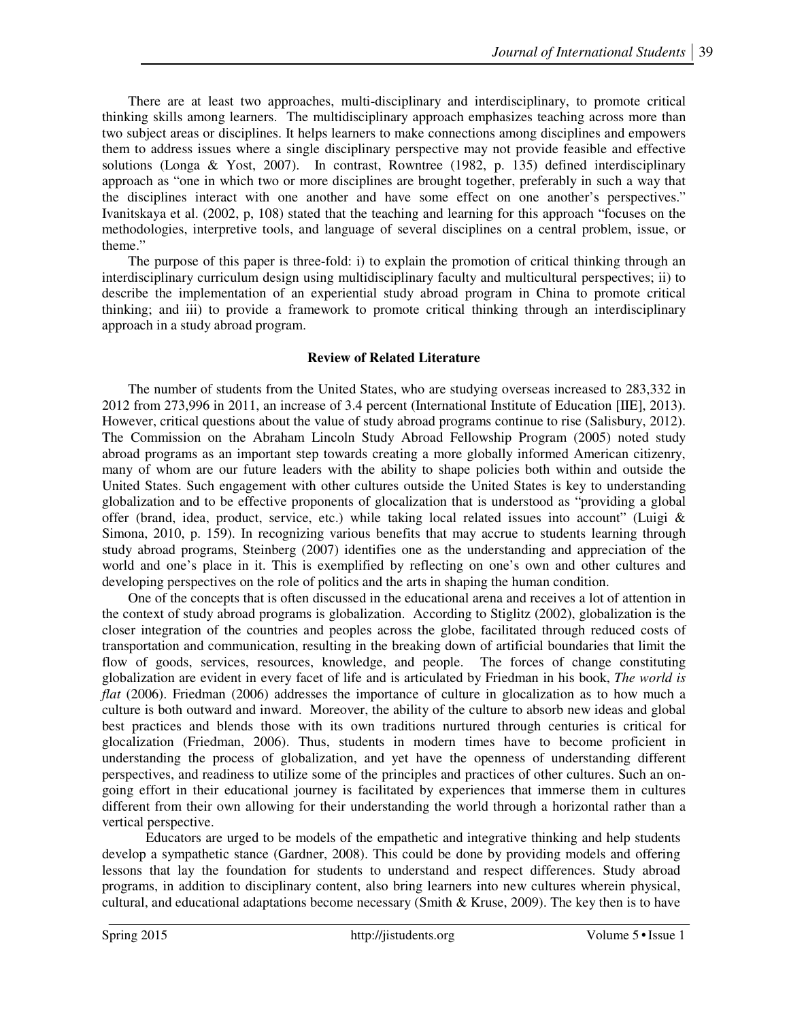There are at least two approaches, multi-disciplinary and interdisciplinary, to promote critical thinking skills among learners. The multidisciplinary approach emphasizes teaching across more than two subject areas or disciplines. It helps learners to make connections among disciplines and empowers them to address issues where a single disciplinary perspective may not provide feasible and effective solutions (Longa & Yost, 2007). In contrast, Rowntree (1982, p. 135) defined interdisciplinary approach as "one in which two or more disciplines are brought together, preferably in such a way that the disciplines interact with one another and have some effect on one another's perspectives." Ivanitskaya et al. (2002, p, 108) stated that the teaching and learning for this approach "focuses on the methodologies, interpretive tools, and language of several disciplines on a central problem, issue, or theme."

The purpose of this paper is three-fold: i) to explain the promotion of critical thinking through an interdisciplinary curriculum design using multidisciplinary faculty and multicultural perspectives; ii) to describe the implementation of an experiential study abroad program in China to promote critical thinking; and iii) to provide a framework to promote critical thinking through an interdisciplinary approach in a study abroad program.

# **Review of Related Literature**

The number of students from the United States, who are studying overseas increased to 283,332 in 2012 from 273,996 in 2011, an increase of 3.4 percent (International Institute of Education [IIE], 2013). However, critical questions about the value of study abroad programs continue to rise (Salisbury, 2012). The Commission on the Abraham Lincoln Study Abroad Fellowship Program (2005) noted study abroad programs as an important step towards creating a more globally informed American citizenry, many of whom are our future leaders with the ability to shape policies both within and outside the United States. Such engagement with other cultures outside the United States is key to understanding globalization and to be effective proponents of glocalization that is understood as "providing a global offer (brand, idea, product, service, etc.) while taking local related issues into account" (Luigi & Simona, 2010, p. 159). In recognizing various benefits that may accrue to students learning through study abroad programs, Steinberg (2007) identifies one as the understanding and appreciation of the world and one's place in it. This is exemplified by reflecting on one's own and other cultures and developing perspectives on the role of politics and the arts in shaping the human condition.

One of the concepts that is often discussed in the educational arena and receives a lot of attention in the context of study abroad programs is globalization. According to Stiglitz (2002), globalization is the closer integration of the countries and peoples across the globe, facilitated through reduced costs of transportation and communication, resulting in the breaking down of artificial boundaries that limit the flow of goods, services, resources, knowledge, and people. The forces of change constituting globalization are evident in every facet of life and is articulated by Friedman in his book, *The world is flat* (2006). Friedman (2006) addresses the importance of culture in glocalization as to how much a culture is both outward and inward. Moreover, the ability of the culture to absorb new ideas and global best practices and blends those with its own traditions nurtured through centuries is critical for glocalization (Friedman, 2006). Thus, students in modern times have to become proficient in understanding the process of globalization, and yet have the openness of understanding different perspectives, and readiness to utilize some of the principles and practices of other cultures. Such an ongoing effort in their educational journey is facilitated by experiences that immerse them in cultures different from their own allowing for their understanding the world through a horizontal rather than a vertical perspective.

 Educators are urged to be models of the empathetic and integrative thinking and help students develop a sympathetic stance (Gardner, 2008). This could be done by providing models and offering lessons that lay the foundation for students to understand and respect differences. Study abroad programs, in addition to disciplinary content, also bring learners into new cultures wherein physical, cultural, and educational adaptations become necessary (Smith  $&$  Kruse, 2009). The key then is to have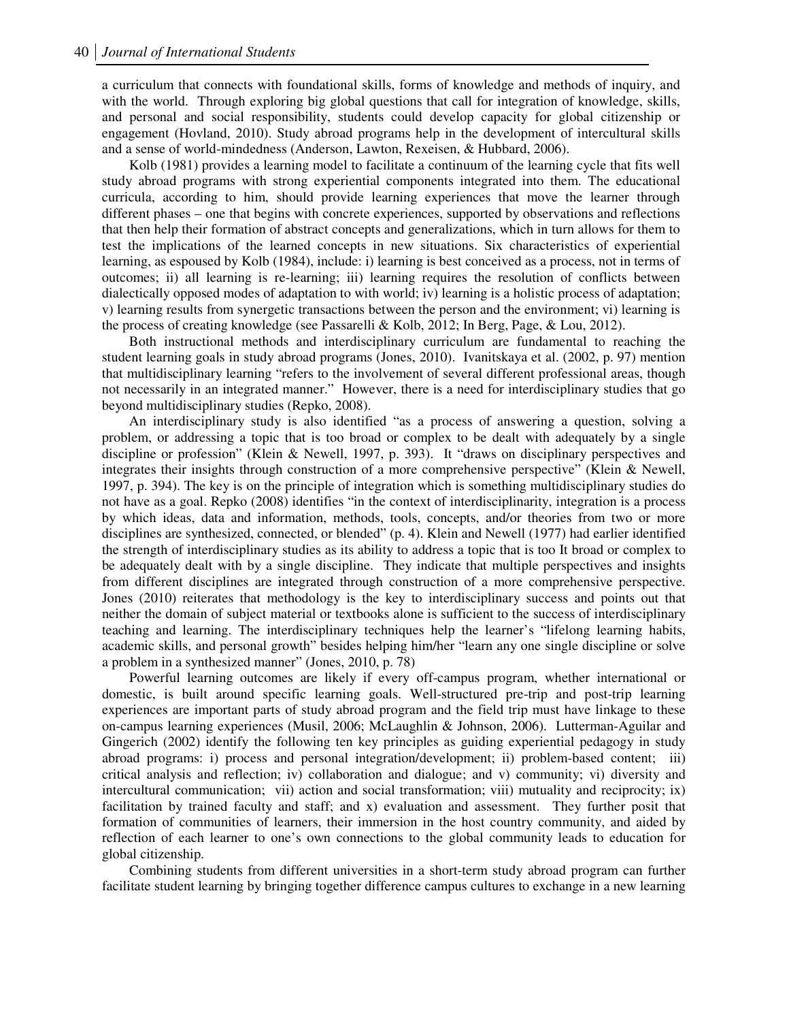a curriculum that connects with foundational skills, forms of knowledge and methods of inquiry, and with the world. Through exploring big global questions that call for integration of knowledge, skills, and personal and social responsibility, students could develop capacity for global citizenship or engagement (Hovland, 2010). Study abroad programs help in the development of intercultural skills and a sense of world-mindedness (Anderson, Lawton, Rexeisen, & Hubbard, 2006).

Kolb (1981) provides a learning model to facilitate a continuum of the learning cycle that fits well study abroad programs with strong experiential components integrated into them. The educational curricula, according to him, should provide learning experiences that move the learner through different phases – one that begins with concrete experiences, supported by observations and reflections that then help their formation of abstract concepts and generalizations, which in turn allows for them to test the implications of the learned concepts in new situations. Six characteristics of experiential learning, as espoused by Kolb (1984), include: i) learning is best conceived as a process, not in terms of outcomes; ii) all learning is re-learning; iii) learning requires the resolution of conflicts between dialectically opposed modes of adaptation to with world; iv) learning is a holistic process of adaptation; v) learning results from synergetic transactions between the person and the environment; vi) learning is the process of creating knowledge (see Passarelli & Kolb, 2012; In Berg, Page, & Lou, 2012).

Both instructional methods and interdisciplinary curriculum are fundamental to reaching the student learning goals in study abroad programs (Jones, 2010). Ivanitskaya et al. (2002, p. 97) mention that multidisciplinary learning "refers to the involvement of several different professional areas, though not necessarily in an integrated manner." However, there is a need for interdisciplinary studies that go beyond multidisciplinary studies (Repko, 2008).

An interdisciplinary study is also identified "as a process of answering a question, solving a problem, or addressing a topic that is too broad or complex to be dealt with adequately by a single discipline or profession" (Klein & Newell, 1997, p. 393). It "draws on disciplinary perspectives and integrates their insights through construction of a more comprehensive perspective" (Klein & Newell, 1997, p. 394). The key is on the principle of integration which is something multidisciplinary studies do not have as a goal. Repko (2008) identifies "in the context of interdisciplinarity, integration is a process by which ideas, data and information, methods, tools, concepts, and/or theories from two or more disciplines are synthesized, connected, or blended" (p. 4). Klein and Newell (1977) had earlier identified the strength of interdisciplinary studies as its ability to address a topic that is too It broad or complex to be adequately dealt with by a single discipline. They indicate that multiple perspectives and insights from different disciplines are integrated through construction of a more comprehensive perspective. Jones (2010) reiterates that methodology is the key to interdisciplinary success and points out that neither the domain of subject material or textbooks alone is sufficient to the success of interdisciplinary teaching and learning. The interdisciplinary techniques help the learner's "lifelong learning habits, academic skills, and personal growth" besides helping him/her "learn any one single discipline or solve a problem in a synthesized manner" (Jones, 2010, p. 78)

Powerful learning outcomes are likely if every off-campus program, whether international or domestic, is built around specific learning goals. Well-structured pre-trip and post-trip learning experiences are important parts of study abroad program and the field trip must have linkage to these on-campus learning experiences (Musil, 2006; McLaughlin & Johnson, 2006). Lutterman-Aguilar and Gingerich (2002) identify the following ten key principles as guiding experiential pedagogy in study abroad programs: i) process and personal integration/development; ii) problem-based content; iii) critical analysis and reflection; iv) collaboration and dialogue; and v) community; vi) diversity and intercultural communication; vii) action and social transformation; viii) mutuality and reciprocity; ix) facilitation by trained faculty and staff; and x) evaluation and assessment. They further posit that formation of communities of learners, their immersion in the host country community, and aided by reflection of each learner to one's own connections to the global community leads to education for global citizenship.

Combining students from different universities in a short-term study abroad program can further facilitate student learning by bringing together difference campus cultures to exchange in a new learning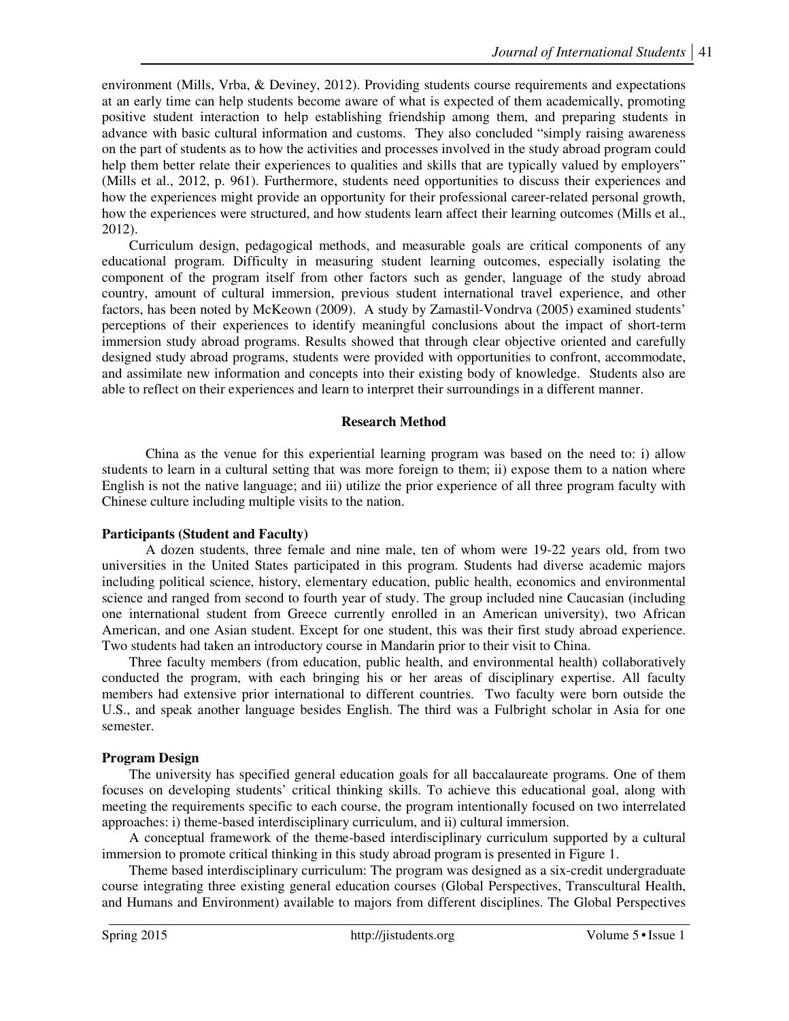environment (Mills, Vrba, & Deviney, 2012). Providing students course requirements and expectations at an early time can help students become aware of what is expected of them academically, promoting positive student interaction to help establishing friendship among them, and preparing students in advance with basic cultural information and customs. They also concluded "simply raising awareness on the part of students as to how the activities and processes involved in the study abroad program could help them better relate their experiences to qualities and skills that are typically valued by employers" (Mills et al., 2012, p. 961). Furthermore, students need opportunities to discuss their experiences and how the experiences might provide an opportunity for their professional career-related personal growth, how the experiences were structured, and how students learn affect their learning outcomes (Mills et al., 2012).

Curriculum design, pedagogical methods, and measurable goals are critical components of any educational program. Difficulty in measuring student learning outcomes, especially isolating the component of the program itself from other factors such as gender, language of the study abroad country, amount of cultural immersion, previous student international travel experience, and other factors, has been noted by McKeown (2009). A study by Zamastil-Vondrva (2005) examined students' perceptions of their experiences to identify meaningful conclusions about the impact of short-term immersion study abroad programs. Results showed that through clear objective oriented and carefully designed study abroad programs, students were provided with opportunities to confront, accommodate, and assimilate new information and concepts into their existing body of knowledge. Students also are able to reflect on their experiences and learn to interpret their surroundings in a different manner.

### **Research Method**

China as the venue for this experiential learning program was based on the need to: i) allow students to learn in a cultural setting that was more foreign to them; ii) expose them to a nation where English is not the native language; and iii) utilize the prior experience of all three program faculty with Chinese culture including multiple visits to the nation.

### **Participants (Student and Faculty)**

A dozen students, three female and nine male, ten of whom were 19-22 years old, from two universities in the United States participated in this program. Students had diverse academic majors including political science, history, elementary education, public health, economics and environmental science and ranged from second to fourth year of study. The group included nine Caucasian (including one international student from Greece currently enrolled in an American university), two African American, and one Asian student. Except for one student, this was their first study abroad experience. Two students had taken an introductory course in Mandarin prior to their visit to China.

Three faculty members (from education, public health, and environmental health) collaboratively conducted the program, with each bringing his or her areas of disciplinary expertise. All faculty members had extensive prior international to different countries. Two faculty were born outside the U.S., and speak another language besides English. The third was a Fulbright scholar in Asia for one semester.

### **Program Design**

The university has specified general education goals for all baccalaureate programs. One of them focuses on developing students' critical thinking skills. To achieve this educational goal, along with meeting the requirements specific to each course, the program intentionally focused on two interrelated approaches: i) theme-based interdisciplinary curriculum, and ii) cultural immersion.

A conceptual framework of the theme-based interdisciplinary curriculum supported by a cultural immersion to promote critical thinking in this study abroad program is presented in Figure 1.

Theme based interdisciplinary curriculum: The program was designed as a six-credit undergraduate course integrating three existing general education courses (Global Perspectives, Transcultural Health, and Humans and Environment) available to majors from different disciplines. The Global Perspectives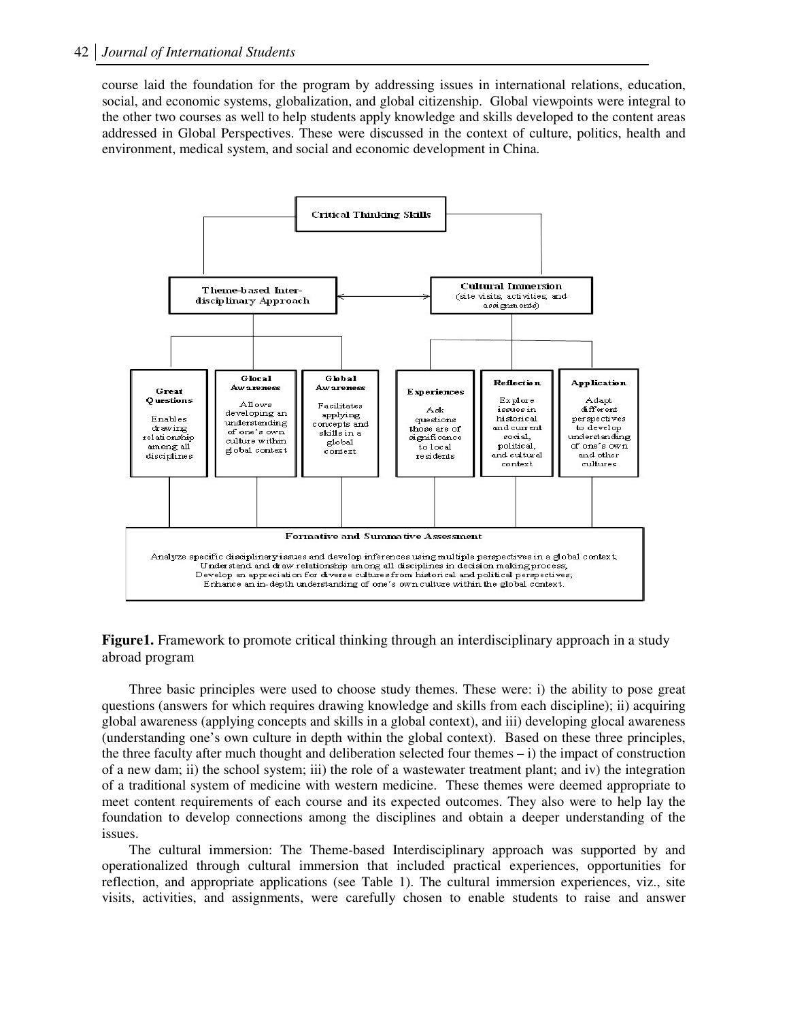course laid the foundation for the program by addressing issues in international relations, education, social, and economic systems, globalization, and global citizenship. Global viewpoints were integral to the other two courses as well to help students apply knowledge and skills developed to the content areas addressed in Global Perspectives. These were discussed in the context of culture, politics, health and environment, medical system, and social and economic development in China.



**Figure1.** Framework to promote critical thinking through an interdisciplinary approach in a study abroad program

Three basic principles were used to choose study themes. These were: i) the ability to pose great questions (answers for which requires drawing knowledge and skills from each discipline); ii) acquiring global awareness (applying concepts and skills in a global context), and iii) developing glocal awareness (understanding one's own culture in depth within the global context). Based on these three principles, the three faculty after much thought and deliberation selected four themes  $- i$ ) the impact of construction of a new dam; ii) the school system; iii) the role of a wastewater treatment plant; and iv) the integration of a traditional system of medicine with western medicine. These themes were deemed appropriate to meet content requirements of each course and its expected outcomes. They also were to help lay the foundation to develop connections among the disciplines and obtain a deeper understanding of the issues.

The cultural immersion: The Theme-based Interdisciplinary approach was supported by and operationalized through cultural immersion that included practical experiences, opportunities for reflection, and appropriate applications (see Table 1). The cultural immersion experiences, viz., site visits, activities, and assignments, were carefully chosen to enable students to raise and answer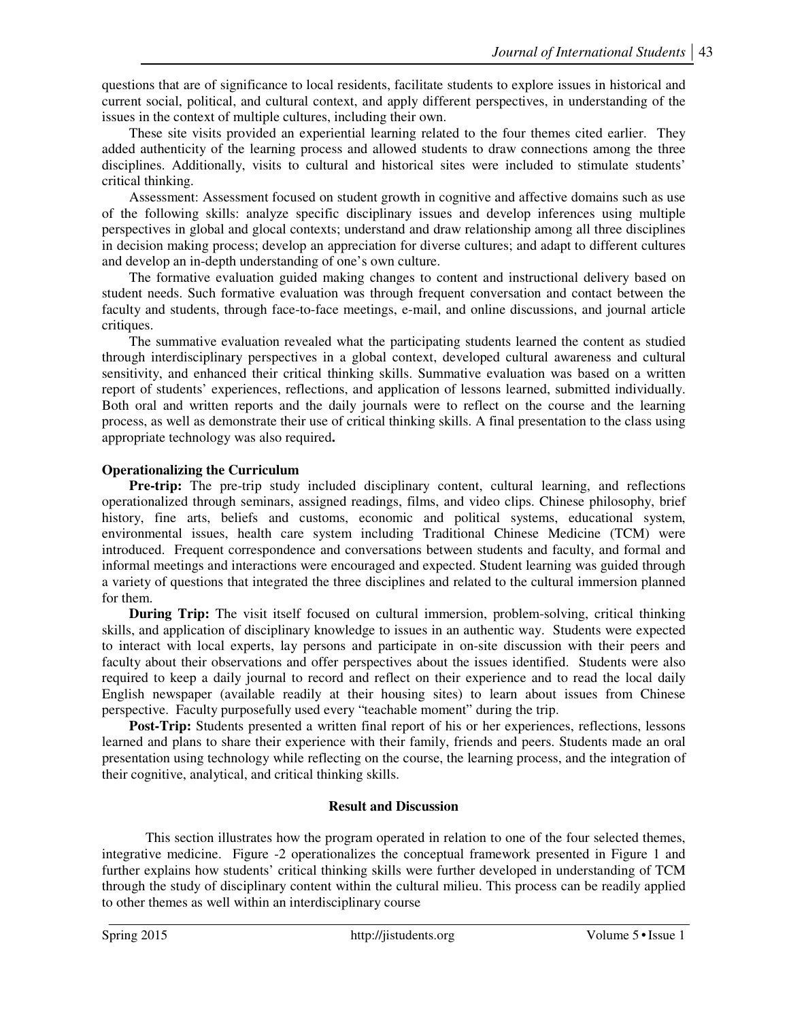questions that are of significance to local residents, facilitate students to explore issues in historical and current social, political, and cultural context, and apply different perspectives, in understanding of the issues in the context of multiple cultures, including their own.

These site visits provided an experiential learning related to the four themes cited earlier. They added authenticity of the learning process and allowed students to draw connections among the three disciplines. Additionally, visits to cultural and historical sites were included to stimulate students' critical thinking.

Assessment: Assessment focused on student growth in cognitive and affective domains such as use of the following skills: analyze specific disciplinary issues and develop inferences using multiple perspectives in global and glocal contexts; understand and draw relationship among all three disciplines in decision making process; develop an appreciation for diverse cultures; and adapt to different cultures and develop an in-depth understanding of one's own culture.

The formative evaluation guided making changes to content and instructional delivery based on student needs. Such formative evaluation was through frequent conversation and contact between the faculty and students, through face-to-face meetings, e-mail, and online discussions, and journal article critiques.

The summative evaluation revealed what the participating students learned the content as studied through interdisciplinary perspectives in a global context, developed cultural awareness and cultural sensitivity, and enhanced their critical thinking skills. Summative evaluation was based on a written report of students' experiences, reflections, and application of lessons learned, submitted individually. Both oral and written reports and the daily journals were to reflect on the course and the learning process, as well as demonstrate their use of critical thinking skills. A final presentation to the class using appropriate technology was also required**.** 

# **Operationalizing the Curriculum**

**Pre-trip:** The pre-trip study included disciplinary content, cultural learning, and reflections operationalized through seminars, assigned readings, films, and video clips. Chinese philosophy, brief history, fine arts, beliefs and customs, economic and political systems, educational system, environmental issues, health care system including Traditional Chinese Medicine (TCM) were introduced. Frequent correspondence and conversations between students and faculty, and formal and informal meetings and interactions were encouraged and expected. Student learning was guided through a variety of questions that integrated the three disciplines and related to the cultural immersion planned for them.

**During Trip:** The visit itself focused on cultural immersion, problem-solving, critical thinking skills, and application of disciplinary knowledge to issues in an authentic way. Students were expected to interact with local experts, lay persons and participate in on-site discussion with their peers and faculty about their observations and offer perspectives about the issues identified. Students were also required to keep a daily journal to record and reflect on their experience and to read the local daily English newspaper (available readily at their housing sites) to learn about issues from Chinese perspective. Faculty purposefully used every "teachable moment" during the trip.

**Post-Trip:** Students presented a written final report of his or her experiences, reflections, lessons learned and plans to share their experience with their family, friends and peers. Students made an oral presentation using technology while reflecting on the course, the learning process, and the integration of their cognitive, analytical, and critical thinking skills.

### **Result and Discussion**

This section illustrates how the program operated in relation to one of the four selected themes, integrative medicine. Figure -2 operationalizes the conceptual framework presented in Figure 1 and further explains how students' critical thinking skills were further developed in understanding of TCM through the study of disciplinary content within the cultural milieu. This process can be readily applied to other themes as well within an interdisciplinary course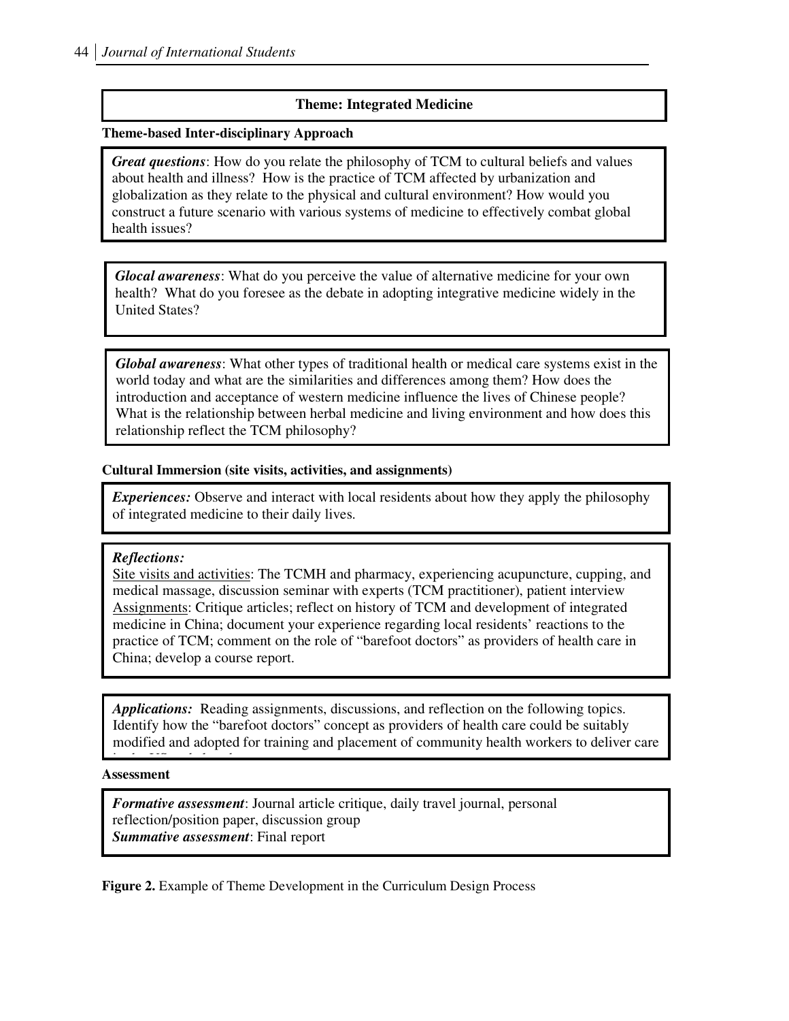### **Theme: Integrated Medicine**

#### **Theme-based Inter-disciplinary Approach**

*Great questions*: How do you relate the philosophy of TCM to cultural beliefs and values about health and illness? How is the practice of TCM affected by urbanization and globalization as they relate to the physical and cultural environment? How would you construct a future scenario with various systems of medicine to effectively combat global health issues?

*Glocal awareness*: What do you perceive the value of alternative medicine for your own health? What do you foresee as the debate in adopting integrative medicine widely in the United States?

*Global awareness*: What other types of traditional health or medical care systems exist in the world today and what are the similarities and differences among them? How does the introduction and acceptance of western medicine influence the lives of Chinese people? What is the relationship between herbal medicine and living environment and how does this relationship reflect the TCM philosophy?

### **Cultural Immersion (site visits, activities, and assignments)**

*Experiences:* Observe and interact with local residents about how they apply the philosophy of integrated medicine to their daily lives.

### *Reflections:*

Site visits and activities: The TCMH and pharmacy, experiencing acupuncture, cupping, and medical massage, discussion seminar with experts (TCM practitioner), patient interview Assignments: Critique articles; reflect on history of TCM and development of integrated medicine in China; document your experience regarding local residents' reactions to the practice of TCM; comment on the role of "barefoot doctors" as providers of health care in China; develop a course report.

*Applications:* Reading assignments, discussions, and reflection on the following topics. Identify how the "barefoot doctors" concept as providers of health care could be suitably modified and adopted for training and placement of community health workers to deliver care

**Assessment** 

in the US and elsewhere.

**Summative assessment: Final report** *Formative assessment*: Journal article critique, daily travel journal, personal reflection/position paper, discussion group

**Figure 2.** Example of Theme Development in the Curriculum Design Process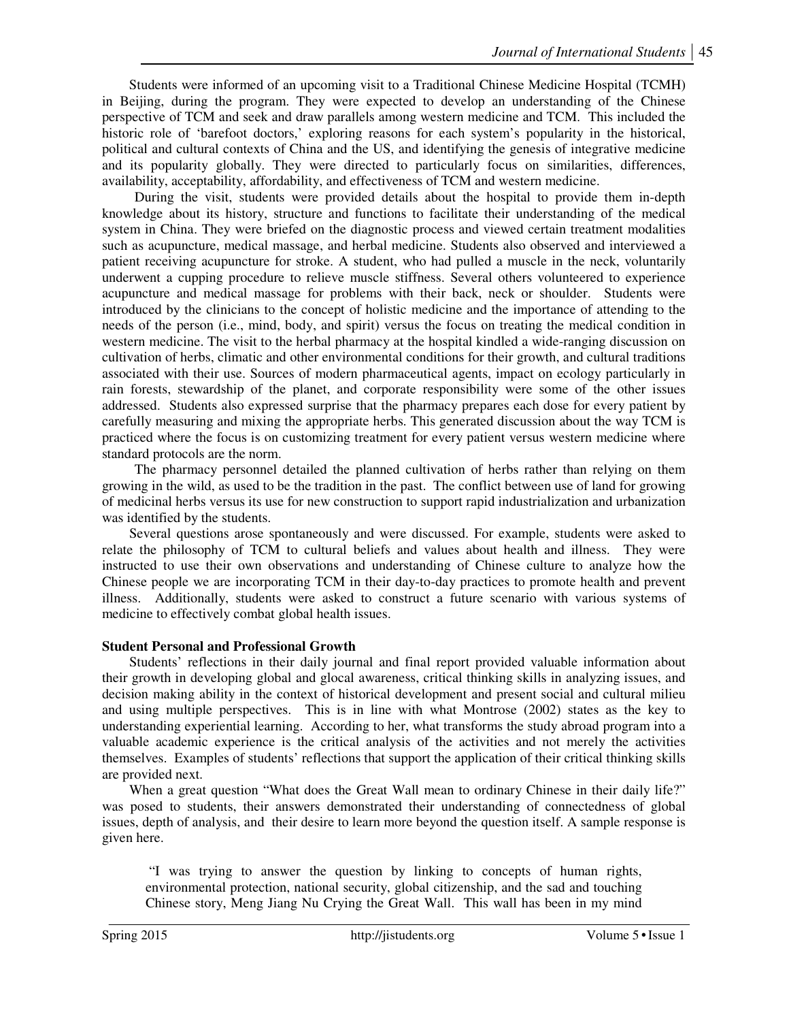Students were informed of an upcoming visit to a Traditional Chinese Medicine Hospital (TCMH) in Beijing, during the program. They were expected to develop an understanding of the Chinese perspective of TCM and seek and draw parallels among western medicine and TCM. This included the historic role of 'barefoot doctors,' exploring reasons for each system's popularity in the historical, political and cultural contexts of China and the US, and identifying the genesis of integrative medicine and its popularity globally. They were directed to particularly focus on similarities, differences, availability, acceptability, affordability, and effectiveness of TCM and western medicine.

During the visit, students were provided details about the hospital to provide them in-depth knowledge about its history, structure and functions to facilitate their understanding of the medical system in China. They were briefed on the diagnostic process and viewed certain treatment modalities such as acupuncture, medical massage, and herbal medicine. Students also observed and interviewed a patient receiving acupuncture for stroke. A student, who had pulled a muscle in the neck, voluntarily underwent a cupping procedure to relieve muscle stiffness. Several others volunteered to experience acupuncture and medical massage for problems with their back, neck or shoulder. Students were introduced by the clinicians to the concept of holistic medicine and the importance of attending to the needs of the person (i.e., mind, body, and spirit) versus the focus on treating the medical condition in western medicine. The visit to the herbal pharmacy at the hospital kindled a wide-ranging discussion on cultivation of herbs, climatic and other environmental conditions for their growth, and cultural traditions associated with their use. Sources of modern pharmaceutical agents, impact on ecology particularly in rain forests, stewardship of the planet, and corporate responsibility were some of the other issues addressed. Students also expressed surprise that the pharmacy prepares each dose for every patient by carefully measuring and mixing the appropriate herbs. This generated discussion about the way TCM is practiced where the focus is on customizing treatment for every patient versus western medicine where standard protocols are the norm.

The pharmacy personnel detailed the planned cultivation of herbs rather than relying on them growing in the wild, as used to be the tradition in the past. The conflict between use of land for growing of medicinal herbs versus its use for new construction to support rapid industrialization and urbanization was identified by the students.

Several questions arose spontaneously and were discussed. For example, students were asked to relate the philosophy of TCM to cultural beliefs and values about health and illness. They were instructed to use their own observations and understanding of Chinese culture to analyze how the Chinese people we are incorporating TCM in their day-to-day practices to promote health and prevent illness. Additionally, students were asked to construct a future scenario with various systems of medicine to effectively combat global health issues.

### **Student Personal and Professional Growth**

Students' reflections in their daily journal and final report provided valuable information about their growth in developing global and glocal awareness, critical thinking skills in analyzing issues, and decision making ability in the context of historical development and present social and cultural milieu and using multiple perspectives. This is in line with what Montrose (2002) states as the key to understanding experiential learning. According to her, what transforms the study abroad program into a valuable academic experience is the critical analysis of the activities and not merely the activities themselves. Examples of students' reflections that support the application of their critical thinking skills are provided next.

When a great question "What does the Great Wall mean to ordinary Chinese in their daily life?" was posed to students, their answers demonstrated their understanding of connectedness of global issues, depth of analysis, and their desire to learn more beyond the question itself. A sample response is given here.

 "I was trying to answer the question by linking to concepts of human rights, environmental protection, national security, global citizenship, and the sad and touching Chinese story, Meng Jiang Nu Crying the Great Wall. This wall has been in my mind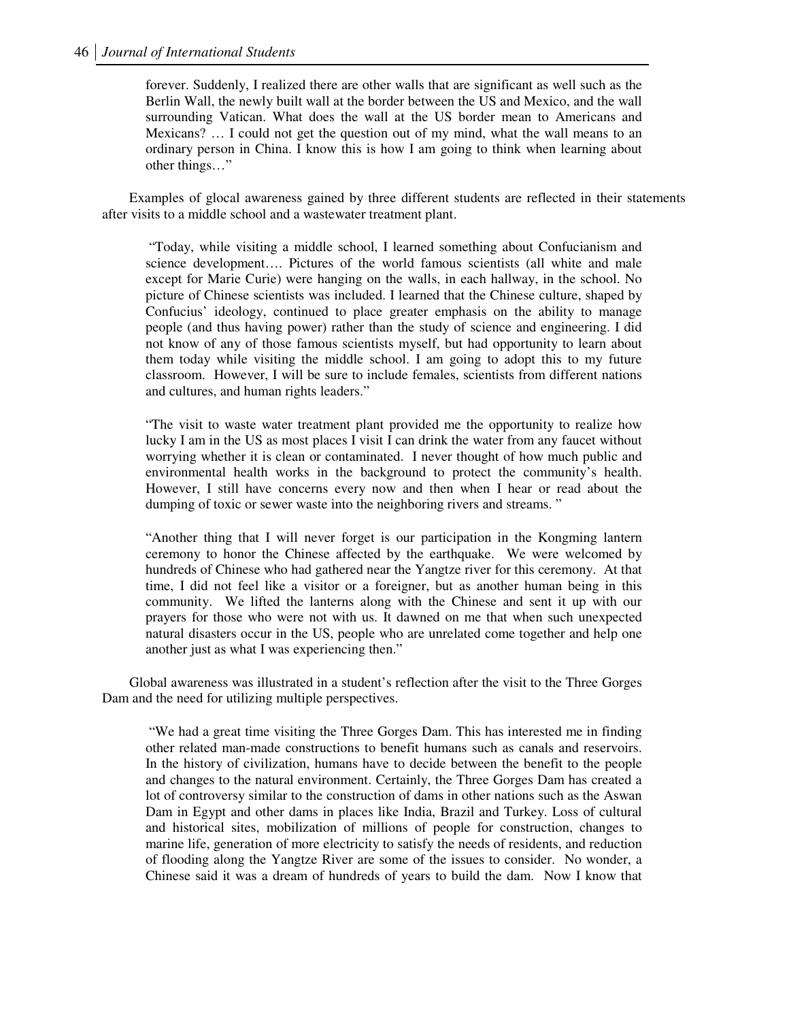forever. Suddenly, I realized there are other walls that are significant as well such as the Berlin Wall, the newly built wall at the border between the US and Mexico, and the wall surrounding Vatican. What does the wall at the US border mean to Americans and Mexicans? … I could not get the question out of my mind, what the wall means to an ordinary person in China. I know this is how I am going to think when learning about other things…"

Examples of glocal awareness gained by three different students are reflected in their statements after visits to a middle school and a wastewater treatment plant.

 "Today, while visiting a middle school, I learned something about Confucianism and science development…. Pictures of the world famous scientists (all white and male except for Marie Curie) were hanging on the walls, in each hallway, in the school. No picture of Chinese scientists was included. I learned that the Chinese culture, shaped by Confucius' ideology, continued to place greater emphasis on the ability to manage people (and thus having power) rather than the study of science and engineering. I did not know of any of those famous scientists myself, but had opportunity to learn about them today while visiting the middle school. I am going to adopt this to my future classroom. However, I will be sure to include females, scientists from different nations and cultures, and human rights leaders."

"The visit to waste water treatment plant provided me the opportunity to realize how lucky I am in the US as most places I visit I can drink the water from any faucet without worrying whether it is clean or contaminated. I never thought of how much public and environmental health works in the background to protect the community's health. However, I still have concerns every now and then when I hear or read about the dumping of toxic or sewer waste into the neighboring rivers and streams."

"Another thing that I will never forget is our participation in the Kongming lantern ceremony to honor the Chinese affected by the earthquake. We were welcomed by hundreds of Chinese who had gathered near the Yangtze river for this ceremony. At that time, I did not feel like a visitor or a foreigner, but as another human being in this community. We lifted the lanterns along with the Chinese and sent it up with our prayers for those who were not with us. It dawned on me that when such unexpected natural disasters occur in the US, people who are unrelated come together and help one another just as what I was experiencing then."

Global awareness was illustrated in a student's reflection after the visit to the Three Gorges Dam and the need for utilizing multiple perspectives.

 "We had a great time visiting the Three Gorges Dam. This has interested me in finding other related man-made constructions to benefit humans such as canals and reservoirs. In the history of civilization, humans have to decide between the benefit to the people and changes to the natural environment. Certainly, the Three Gorges Dam has created a lot of controversy similar to the construction of dams in other nations such as the Aswan Dam in Egypt and other dams in places like India, Brazil and Turkey. Loss of cultural and historical sites, mobilization of millions of people for construction, changes to marine life, generation of more electricity to satisfy the needs of residents, and reduction of flooding along the Yangtze River are some of the issues to consider. No wonder, a Chinese said it was a dream of hundreds of years to build the dam. Now I know that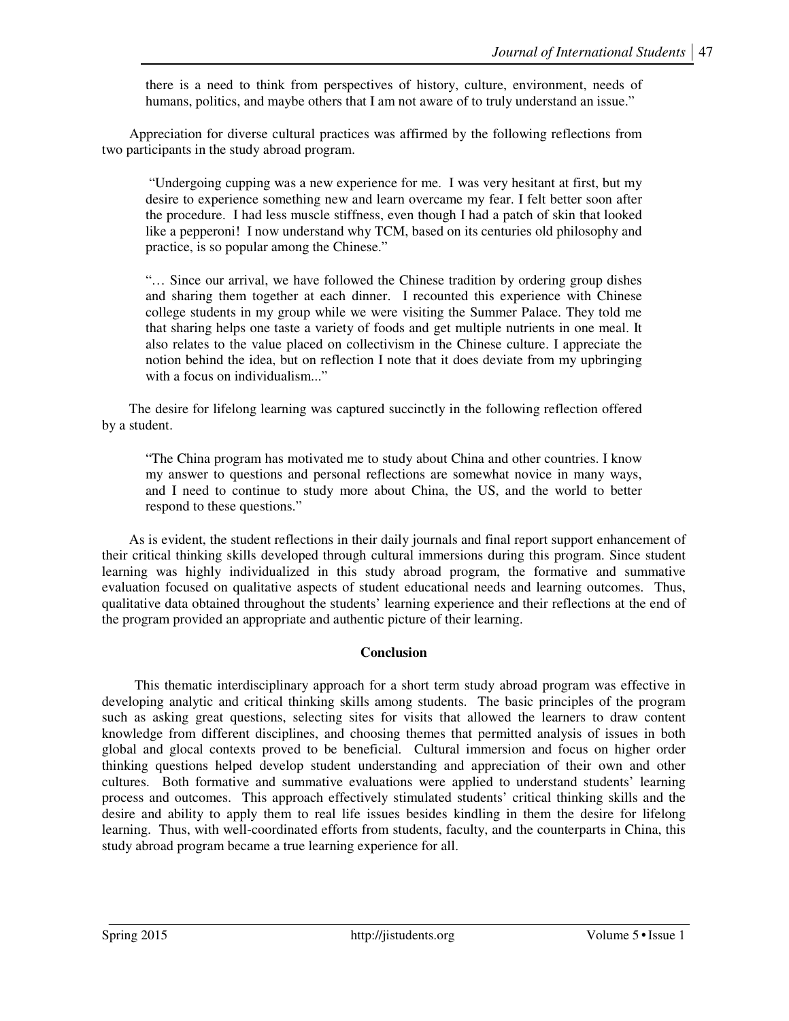there is a need to think from perspectives of history, culture, environment, needs of humans, politics, and maybe others that I am not aware of to truly understand an issue."

Appreciation for diverse cultural practices was affirmed by the following reflections from two participants in the study abroad program.

"Undergoing cupping was a new experience for me. I was very hesitant at first, but my desire to experience something new and learn overcame my fear. I felt better soon after the procedure. I had less muscle stiffness, even though I had a patch of skin that looked like a pepperoni! I now understand why TCM, based on its centuries old philosophy and practice, is so popular among the Chinese."

"… Since our arrival, we have followed the Chinese tradition by ordering group dishes and sharing them together at each dinner. I recounted this experience with Chinese college students in my group while we were visiting the Summer Palace. They told me that sharing helps one taste a variety of foods and get multiple nutrients in one meal. It also relates to the value placed on collectivism in the Chinese culture. I appreciate the notion behind the idea, but on reflection I note that it does deviate from my upbringing with a focus on individualism..."

The desire for lifelong learning was captured succinctly in the following reflection offered by a student.

"The China program has motivated me to study about China and other countries. I know my answer to questions and personal reflections are somewhat novice in many ways, and I need to continue to study more about China, the US, and the world to better respond to these questions."

As is evident, the student reflections in their daily journals and final report support enhancement of their critical thinking skills developed through cultural immersions during this program. Since student learning was highly individualized in this study abroad program, the formative and summative evaluation focused on qualitative aspects of student educational needs and learning outcomes. Thus, qualitative data obtained throughout the students' learning experience and their reflections at the end of the program provided an appropriate and authentic picture of their learning.

### **Conclusion**

This thematic interdisciplinary approach for a short term study abroad program was effective in developing analytic and critical thinking skills among students. The basic principles of the program such as asking great questions, selecting sites for visits that allowed the learners to draw content knowledge from different disciplines, and choosing themes that permitted analysis of issues in both global and glocal contexts proved to be beneficial. Cultural immersion and focus on higher order thinking questions helped develop student understanding and appreciation of their own and other cultures. Both formative and summative evaluations were applied to understand students' learning process and outcomes. This approach effectively stimulated students' critical thinking skills and the desire and ability to apply them to real life issues besides kindling in them the desire for lifelong learning. Thus, with well-coordinated efforts from students, faculty, and the counterparts in China, this study abroad program became a true learning experience for all.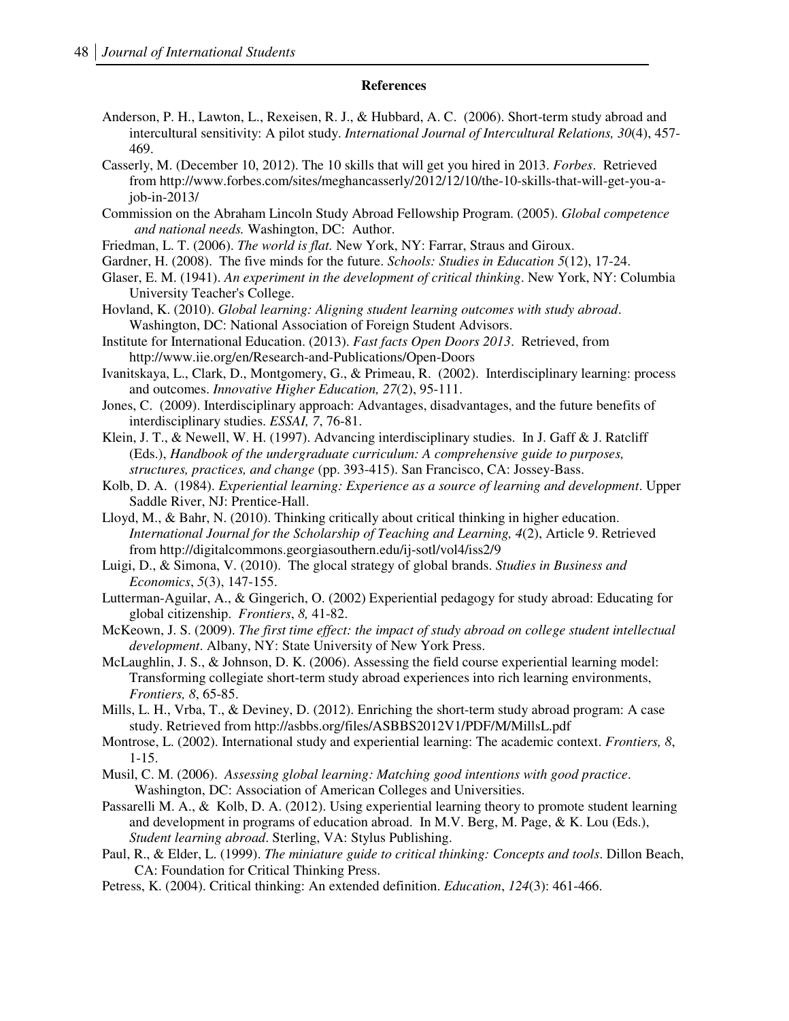#### **References**

- Anderson, P. H., Lawton, L., Rexeisen, R. J., & Hubbard, A. C. (2006). Short-term study abroad and intercultural sensitivity: A pilot study. *International Journal of Intercultural Relations, 30*(4), 457- 469.
- Casserly, M. (December 10, 2012). The 10 skills that will get you hired in 2013. *Forbes*. Retrieved from http://www.forbes.com/sites/meghancasserly/2012/12/10/the-10-skills-that-will-get-you-ajob-in-2013/
- Commission on the Abraham Lincoln Study Abroad Fellowship Program. (2005). *Global competence and national needs.* Washington, DC: Author.
- Friedman, L. T. (2006). *The world is flat.* New York, NY: Farrar, Straus and Giroux.
- Gardner, H. (2008). The five minds for the future. *Schools: Studies in Education 5*(12), 17-24.
- Glaser, E. M. (1941). *An experiment in the development of critical thinking*. New York, NY: Columbia University Teacher's College.
- Hovland, K. (2010). *Global learning: Aligning student learning outcomes with study abroad*. Washington, DC: National Association of Foreign Student Advisors.
- Institute for International Education. (2013). *Fast facts Open Doors 2013*. Retrieved, from http://www.iie.org/en/Research-and-Publications/Open-Doors
- Ivanitskaya, L., Clark, D., Montgomery, G., & Primeau, R. (2002). Interdisciplinary learning: process and outcomes. *Innovative Higher Education, 27*(2), 95-111.
- Jones, C. (2009). Interdisciplinary approach: Advantages, disadvantages, and the future benefits of interdisciplinary studies. *ESSAI, 7*, 76-81.
- Klein, J. T., & Newell, W. H. (1997). Advancing interdisciplinary studies. In J. Gaff  $\&$  J. Ratcliff (Eds.), *Handbook of the undergraduate curriculum: A comprehensive guide to purposes, structures, practices, and change* (pp. 393-415). San Francisco, CA: Jossey-Bass.
- Kolb, D. A. (1984). *Experiential learning: Experience as a source of learning and development*. Upper Saddle River, NJ: Prentice-Hall.
- Lloyd, M., & Bahr, N. (2010). Thinking critically about critical thinking in higher education. *International Journal for the Scholarship of Teaching and Learning, 4*(2), Article 9. Retrieved from http://digitalcommons.georgiasouthern.edu/ij-sotl/vol4/iss2/9
- Luigi, D., & Simona, V. (2010). The glocal strategy of global brands. *Studies in Business and Economics*, *5*(3), 147-155.
- Lutterman-Aguilar, A., & Gingerich, O. (2002) Experiential pedagogy for study abroad: Educating for global citizenship. *Frontiers*, *8,* 41-82.
- McKeown, J. S. (2009). *The first time effect: the impact of study abroad on college student intellectual development*. Albany, NY: State University of New York Press.
- McLaughlin, J. S., & Johnson, D. K. (2006). Assessing the field course experiential learning model: Transforming collegiate short-term study abroad experiences into rich learning environments, *Frontiers, 8*, 65-85.
- Mills, L. H., Vrba, T., & Deviney, D. (2012). Enriching the short-term study abroad program: A case study. Retrieved from http://asbbs.org/files/ASBBS2012V1/PDF/M/MillsL.pdf
- Montrose, L. (2002). International study and experiential learning: The academic context. *Frontiers, 8*, 1-15.
- Musil, C. M. (2006). *Assessing global learning: Matching good intentions with good practice*. Washington, DC: Association of American Colleges and Universities.
- Passarelli M. A., & Kolb, D. A. (2012). Using experiential learning theory to promote student learning and development in programs of education abroad. In M.V. Berg, M. Page, & K. Lou (Eds.), *Student learning abroad*. Sterling, VA: Stylus Publishing.
- Paul, R., & Elder, L. (1999). *The miniature guide to critical thinking: Concepts and tools*. Dillon Beach, CA: Foundation for Critical Thinking Press.
- Petress, K. (2004). Critical thinking: An extended definition. *Education*, *124*(3): 461-466.